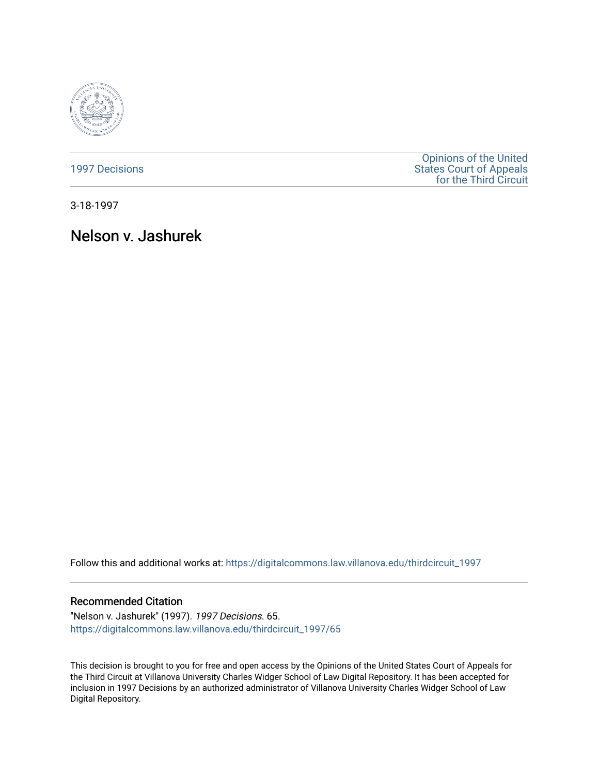

[1997 Decisions](https://digitalcommons.law.villanova.edu/thirdcircuit_1997)

[Opinions of the United](https://digitalcommons.law.villanova.edu/thirdcircuit)  [States Court of Appeals](https://digitalcommons.law.villanova.edu/thirdcircuit)  [for the Third Circuit](https://digitalcommons.law.villanova.edu/thirdcircuit) 

3-18-1997

# Nelson v. Jashurek

Follow this and additional works at: [https://digitalcommons.law.villanova.edu/thirdcircuit\\_1997](https://digitalcommons.law.villanova.edu/thirdcircuit_1997?utm_source=digitalcommons.law.villanova.edu%2Fthirdcircuit_1997%2F65&utm_medium=PDF&utm_campaign=PDFCoverPages) 

## Recommended Citation

"Nelson v. Jashurek" (1997). 1997 Decisions. 65. [https://digitalcommons.law.villanova.edu/thirdcircuit\\_1997/65](https://digitalcommons.law.villanova.edu/thirdcircuit_1997/65?utm_source=digitalcommons.law.villanova.edu%2Fthirdcircuit_1997%2F65&utm_medium=PDF&utm_campaign=PDFCoverPages)

This decision is brought to you for free and open access by the Opinions of the United States Court of Appeals for the Third Circuit at Villanova University Charles Widger School of Law Digital Repository. It has been accepted for inclusion in 1997 Decisions by an authorized administrator of Villanova University Charles Widger School of Law Digital Repository.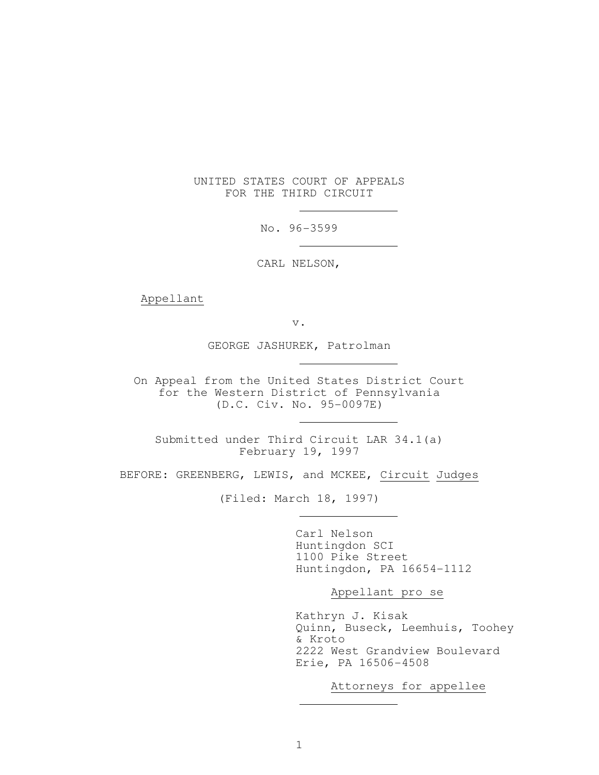### UNITED STATES COURT OF APPEALS FOR THE THIRD CIRCUIT

No. 96-3599

CARL NELSON,

Appellant

v.

GEORGE JASHUREK, Patrolman

 On Appeal from the United States District Court for the Western District of Pennsylvania (D.C. Civ. No. 95-0097E)

 Submitted under Third Circuit LAR 34.1(a) February 19, 1997

BEFORE: GREENBERG, LEWIS, and MCKEE, Circuit Judges

(Filed: March 18, 1997)

 Carl Nelson Huntingdon SCI 1100 Pike Street Huntingdon, PA 16654-1112

Appellant pro se

 Kathryn J. Kisak Quinn, Buseck, Leemhuis, Toohey & Kroto 2222 West Grandview Boulevard Erie, PA 16506-4508

Attorneys for appellee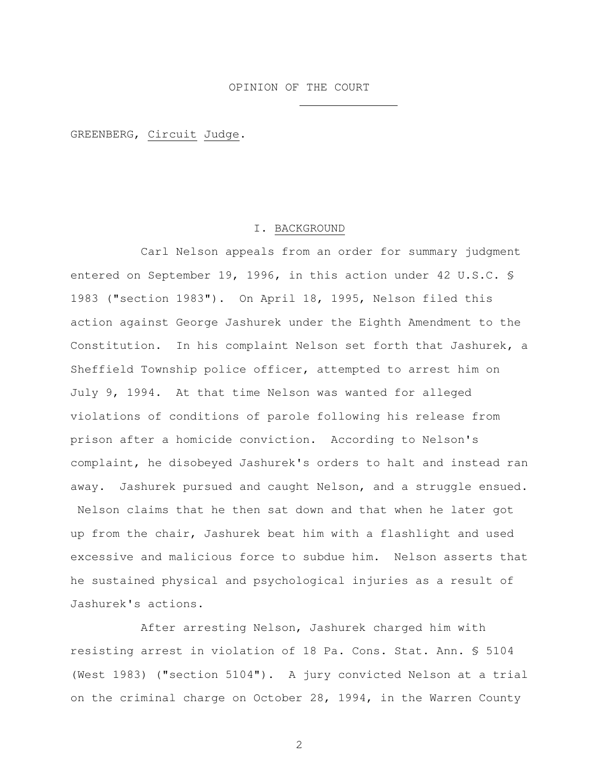GREENBERG, Circuit Judge.

#### I. BACKGROUND

 Carl Nelson appeals from an order for summary judgment entered on September 19, 1996, in this action under 42 U.S.C. § 1983 ("section 1983"). On April 18, 1995, Nelson filed this action against George Jashurek under the Eighth Amendment to the Constitution. In his complaint Nelson set forth that Jashurek, a Sheffield Township police officer, attempted to arrest him on July 9, 1994. At that time Nelson was wanted for alleged violations of conditions of parole following his release from prison after a homicide conviction. According to Nelson's complaint, he disobeyed Jashurek's orders to halt and instead ran away. Jashurek pursued and caught Nelson, and a struggle ensued. Nelson claims that he then sat down and that when he later got up from the chair, Jashurek beat him with a flashlight and used excessive and malicious force to subdue him. Nelson asserts that he sustained physical and psychological injuries as a result of Jashurek's actions.

 After arresting Nelson, Jashurek charged him with resisting arrest in violation of 18 Pa. Cons. Stat. Ann. § 5104 (West 1983) ("section 5104"). A jury convicted Nelson at a trial on the criminal charge on October 28, 1994, in the Warren County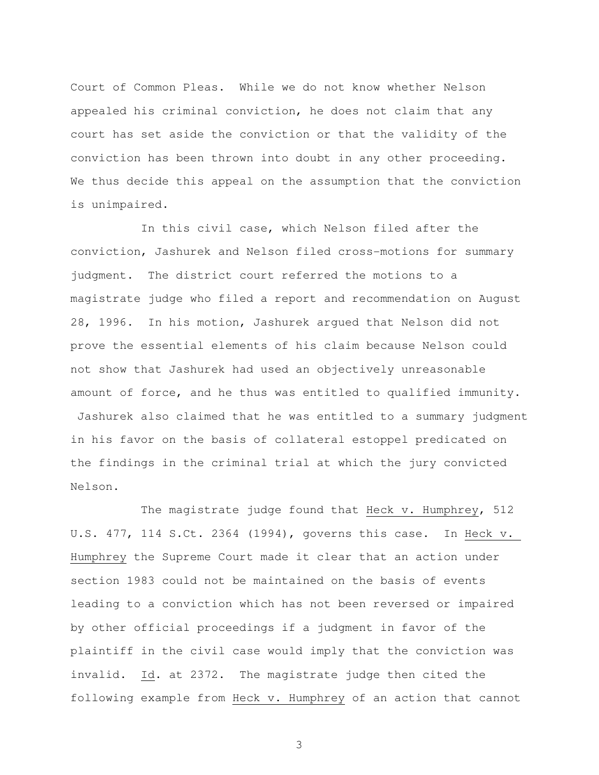Court of Common Pleas. While we do not know whether Nelson appealed his criminal conviction, he does not claim that any court has set aside the conviction or that the validity of the conviction has been thrown into doubt in any other proceeding. We thus decide this appeal on the assumption that the conviction is unimpaired.

 In this civil case, which Nelson filed after the conviction, Jashurek and Nelson filed cross-motions for summary judgment. The district court referred the motions to a magistrate judge who filed a report and recommendation on August 28, 1996. In his motion, Jashurek argued that Nelson did not prove the essential elements of his claim because Nelson could not show that Jashurek had used an objectively unreasonable amount of force, and he thus was entitled to qualified immunity. Jashurek also claimed that he was entitled to a summary judgment in his favor on the basis of collateral estoppel predicated on the findings in the criminal trial at which the jury convicted Nelson.

 The magistrate judge found that Heck v. Humphrey, 512 U.S. 477, 114 S.Ct. 2364 (1994), governs this case. In Heck v. Humphrey the Supreme Court made it clear that an action under section 1983 could not be maintained on the basis of events leading to a conviction which has not been reversed or impaired by other official proceedings if a judgment in favor of the plaintiff in the civil case would imply that the conviction was invalid. Id. at 2372. The magistrate judge then cited the following example from Heck v. Humphrey of an action that cannot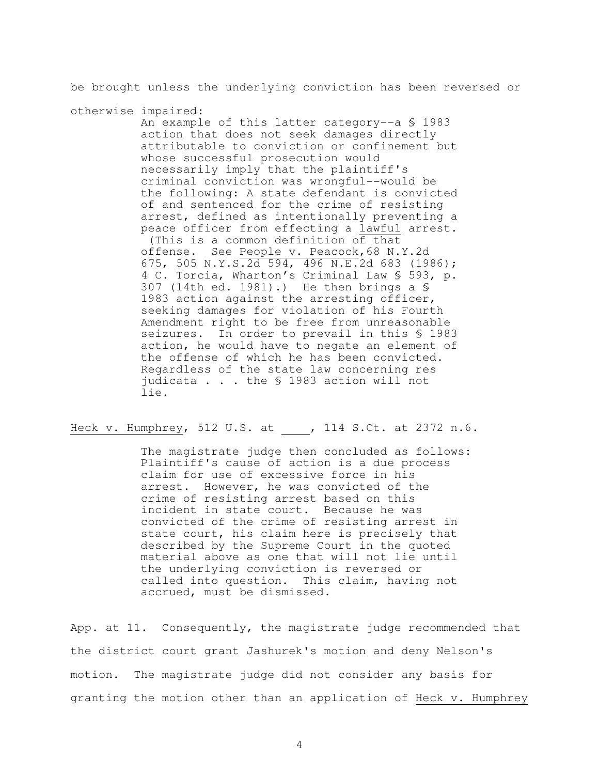be brought unless the underlying conviction has been reversed or

otherwise impaired: An example of this latter category--a § 1983 action that does not seek damages directly attributable to conviction or confinement but whose successful prosecution would necessarily imply that the plaintiff's criminal conviction was wrongful--would be the following: A state defendant is convicted of and sentenced for the crime of resisting arrest, defined as intentionally preventing a peace officer from effecting a lawful arrest. (This is a common definition of that offense. See People v. Peacock,68 N.Y.2d 675, 505 N.Y.S.2d 594, 496 N.E.2d 683 (1986); 4 C. Torcia, Wharton's Criminal Law § 593, p. 307 (14th ed. 1981).) He then brings a § 1983 action against the arresting officer, seeking damages for violation of his Fourth Amendment right to be free from unreasonable seizures. In order to prevail in this \$ 1983 action, he would have to negate an element of the offense of which he has been convicted. Regardless of the state law concerning res judicata . . . the § 1983 action will not lie.

Heck v. Humphrey, 512 U.S. at \_\_\_\_, 114 S.Ct. at 2372 n.6.

 The magistrate judge then concluded as follows: Plaintiff's cause of action is a due process claim for use of excessive force in his arrest. However, he was convicted of the crime of resisting arrest based on this incident in state court. Because he was convicted of the crime of resisting arrest in state court, his claim here is precisely that described by the Supreme Court in the quoted material above as one that will not lie until the underlying conviction is reversed or called into question. This claim, having not accrued, must be dismissed.

App. at 11. Consequently, the magistrate judge recommended that the district court grant Jashurek's motion and deny Nelson's motion. The magistrate judge did not consider any basis for granting the motion other than an application of Heck v. Humphrey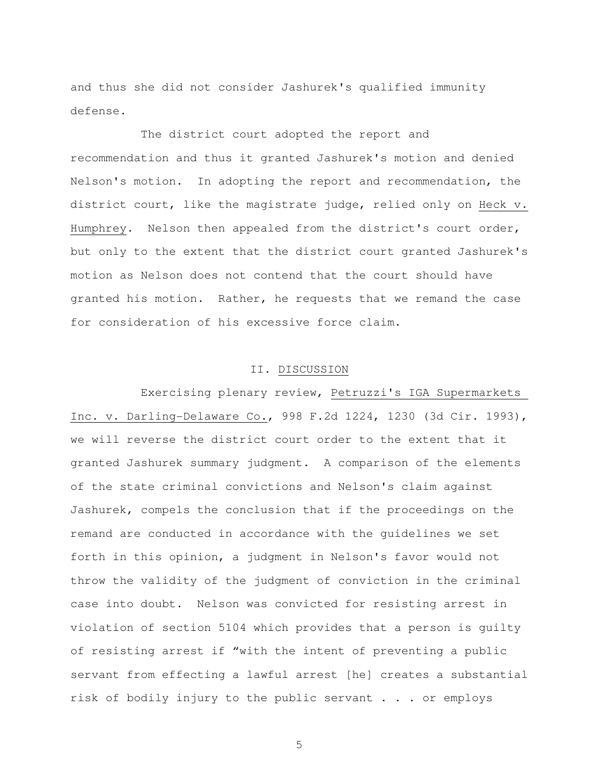and thus she did not consider Jashurek's qualified immunity defense.

 The district court adopted the report and recommendation and thus it granted Jashurek's motion and denied Nelson's motion. In adopting the report and recommendation, the district court, like the magistrate judge, relied only on Heck v. Humphrey. Nelson then appealed from the district's court order, but only to the extent that the district court granted Jashurek's motion as Nelson does not contend that the court should have granted his motion. Rather, he requests that we remand the case for consideration of his excessive force claim.

#### II. DISCUSSION

 Exercising plenary review, Petruzzi's IGA Supermarkets Inc. v. Darling-Delaware Co., 998 F.2d 1224, 1230 (3d Cir. 1993), we will reverse the district court order to the extent that it granted Jashurek summary judgment. A comparison of the elements of the state criminal convictions and Nelson's claim against Jashurek, compels the conclusion that if the proceedings on the remand are conducted in accordance with the guidelines we set forth in this opinion, a judgment in Nelson's favor would not throw the validity of the judgment of conviction in the criminal case into doubt. Nelson was convicted for resisting arrest in violation of section 5104 which provides that a person is guilty of resisting arrest if "with the intent of preventing a public servant from effecting a lawful arrest [he] creates a substantial risk of bodily injury to the public servant . . . or employs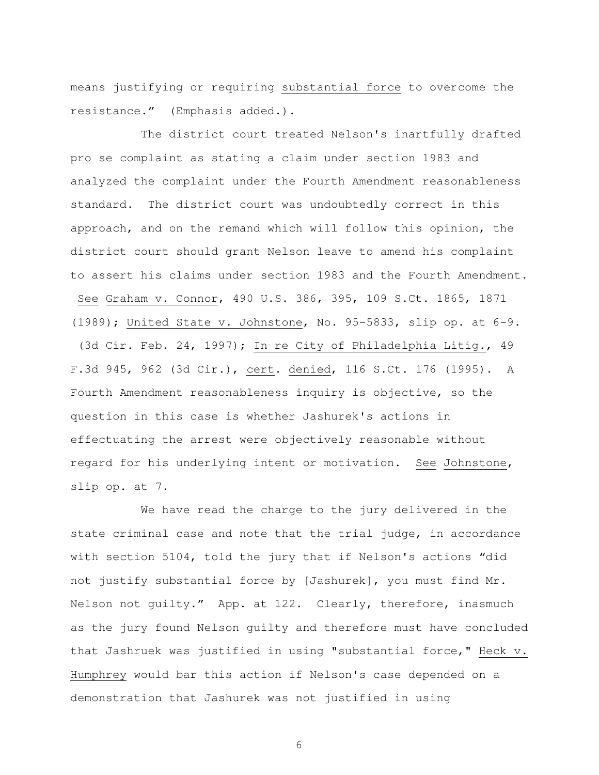means justifying or requiring substantial force to overcome the resistance." (Emphasis added.).

 The district court treated Nelson's inartfully drafted pro se complaint as stating a claim under section 1983 and analyzed the complaint under the Fourth Amendment reasonableness standard. The district court was undoubtedly correct in this approach, and on the remand which will follow this opinion, the district court should grant Nelson leave to amend his complaint to assert his claims under section 1983 and the Fourth Amendment. See Graham v. Connor, 490 U.S. 386, 395, 109 S.Ct. 1865, 1871 (1989); United State v. Johnstone, No. 95-5833, slip op. at 6-9. (3d Cir. Feb. 24, 1997); In re City of Philadelphia Litig., 49 F.3d 945, 962 (3d Cir.), cert. denied, 116 S.Ct. 176 (1995). A Fourth Amendment reasonableness inquiry is objective, so the question in this case is whether Jashurek's actions in effectuating the arrest were objectively reasonable without regard for his underlying intent or motivation. See Johnstone, slip op. at 7.

 We have read the charge to the jury delivered in the state criminal case and note that the trial judge, in accordance with section 5104, told the jury that if Nelson's actions "did not justify substantial force by [Jashurek], you must find Mr. Nelson not guilty." App. at 122. Clearly, therefore, inasmuch as the jury found Nelson guilty and therefore must have concluded that Jashruek was justified in using "substantial force," Heck v. Humphrey would bar this action if Nelson's case depended on a demonstration that Jashurek was not justified in using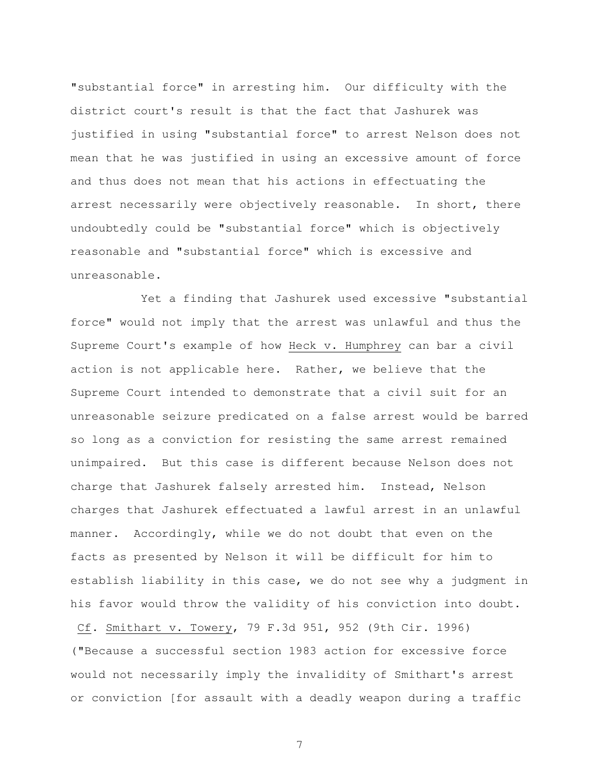"substantial force" in arresting him. Our difficulty with the district court's result is that the fact that Jashurek was justified in using "substantial force" to arrest Nelson does not mean that he was justified in using an excessive amount of force and thus does not mean that his actions in effectuating the arrest necessarily were objectively reasonable. In short, there undoubtedly could be "substantial force" which is objectively reasonable and "substantial force" which is excessive and unreasonable.

 Yet a finding that Jashurek used excessive "substantial force" would not imply that the arrest was unlawful and thus the Supreme Court's example of how Heck v. Humphrey can bar a civil action is not applicable here. Rather, we believe that the Supreme Court intended to demonstrate that a civil suit for an unreasonable seizure predicated on a false arrest would be barred so long as a conviction for resisting the same arrest remained unimpaired. But this case is different because Nelson does not charge that Jashurek falsely arrested him. Instead, Nelson charges that Jashurek effectuated a lawful arrest in an unlawful manner. Accordingly, while we do not doubt that even on the facts as presented by Nelson it will be difficult for him to establish liability in this case, we do not see why a judgment in his favor would throw the validity of his conviction into doubt.

 Cf. Smithart v. Towery, 79 F.3d 951, 952 (9th Cir. 1996) ("Because a successful section 1983 action for excessive force would not necessarily imply the invalidity of Smithart's arrest or conviction [for assault with a deadly weapon during a traffic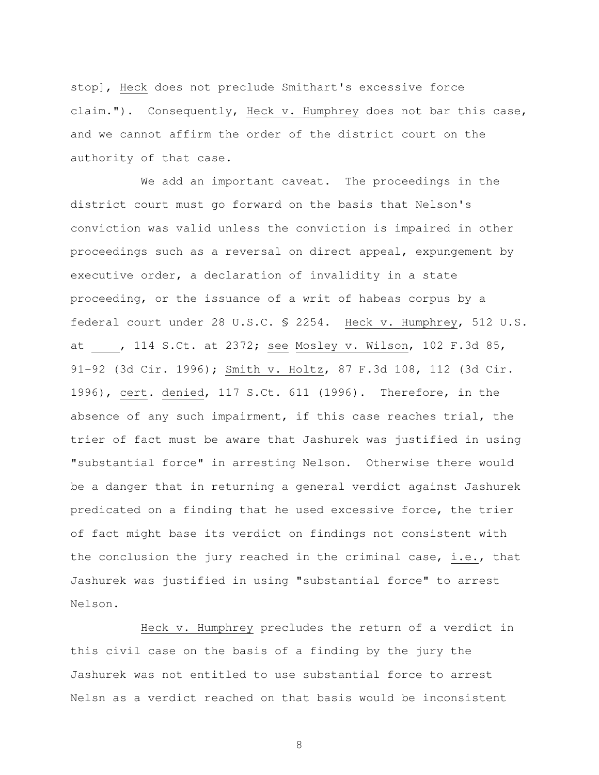stop], Heck does not preclude Smithart's excessive force claim."). Consequently, Heck v. Humphrey does not bar this case, and we cannot affirm the order of the district court on the authority of that case.

 We add an important caveat. The proceedings in the district court must go forward on the basis that Nelson's conviction was valid unless the conviction is impaired in other proceedings such as a reversal on direct appeal, expungement by executive order, a declaration of invalidity in a state proceeding, or the issuance of a writ of habeas corpus by a federal court under 28 U.S.C. § 2254. Heck v. Humphrey, 512 U.S. at , 114 S.Ct. at 2372; see Mosley v. Wilson, 102 F.3d 85, 91-92 (3d Cir. 1996); Smith v. Holtz, 87 F.3d 108, 112 (3d Cir. 1996), cert. denied, 117 S.Ct. 611 (1996). Therefore, in the absence of any such impairment, if this case reaches trial, the trier of fact must be aware that Jashurek was justified in using "substantial force" in arresting Nelson. Otherwise there would be a danger that in returning a general verdict against Jashurek predicated on a finding that he used excessive force, the trier of fact might base its verdict on findings not consistent with the conclusion the jury reached in the criminal case, i.e., that Jashurek was justified in using "substantial force" to arrest Nelson.

 Heck v. Humphrey precludes the return of a verdict in this civil case on the basis of a finding by the jury the Jashurek was not entitled to use substantial force to arrest Nelsn as a verdict reached on that basis would be inconsistent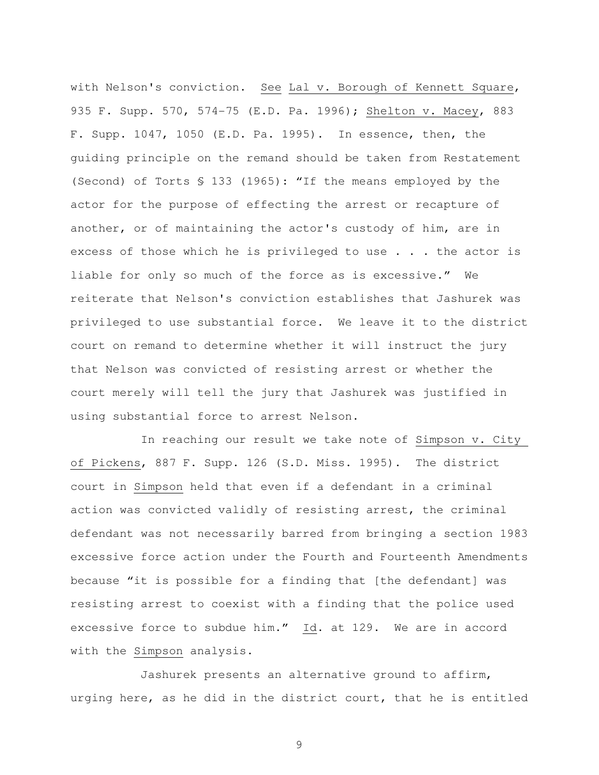with Nelson's conviction. See Lal v. Borough of Kennett Square, 935 F. Supp. 570, 574-75 (E.D. Pa. 1996); Shelton v. Macey, 883 F. Supp. 1047, 1050 (E.D. Pa. 1995). In essence, then, the guiding principle on the remand should be taken from Restatement (Second) of Torts § 133 (1965): "If the means employed by the actor for the purpose of effecting the arrest or recapture of another, or of maintaining the actor's custody of him, are in excess of those which he is privileged to use . . . the actor is liable for only so much of the force as is excessive." We reiterate that Nelson's conviction establishes that Jashurek was privileged to use substantial force. We leave it to the district court on remand to determine whether it will instruct the jury that Nelson was convicted of resisting arrest or whether the court merely will tell the jury that Jashurek was justified in using substantial force to arrest Nelson.

 In reaching our result we take note of Simpson v. City of Pickens, 887 F. Supp. 126 (S.D. Miss. 1995). The district court in Simpson held that even if a defendant in a criminal action was convicted validly of resisting arrest, the criminal defendant was not necessarily barred from bringing a section 1983 excessive force action under the Fourth and Fourteenth Amendments because "it is possible for a finding that [the defendant] was resisting arrest to coexist with a finding that the police used excessive force to subdue him."  $\underline{Id}$ . at 129. We are in accord with the Simpson analysis.

 Jashurek presents an alternative ground to affirm, urging here, as he did in the district court, that he is entitled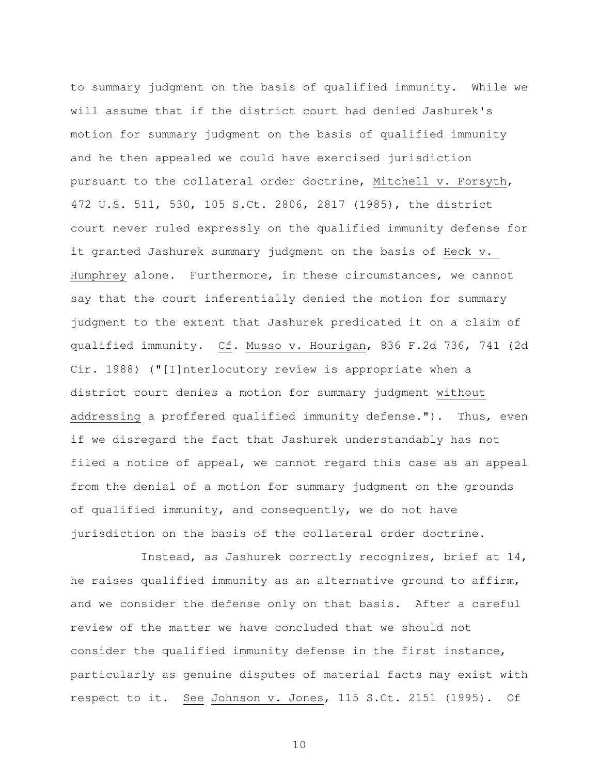to summary judgment on the basis of qualified immunity. While we will assume that if the district court had denied Jashurek's motion for summary judgment on the basis of qualified immunity and he then appealed we could have exercised jurisdiction pursuant to the collateral order doctrine, Mitchell v. Forsyth, 472 U.S. 511, 530, 105 S.Ct. 2806, 2817 (1985), the district court never ruled expressly on the qualified immunity defense for it granted Jashurek summary judgment on the basis of Heck v. Humphrey alone. Furthermore, in these circumstances, we cannot say that the court inferentially denied the motion for summary judgment to the extent that Jashurek predicated it on a claim of qualified immunity. Cf. Musso v. Hourigan, 836 F.2d 736, 741 (2d Cir. 1988) ("[I]nterlocutory review is appropriate when a district court denies a motion for summary judgment without addressing a proffered qualified immunity defense."). Thus, even if we disregard the fact that Jashurek understandably has not filed a notice of appeal, we cannot regard this case as an appeal from the denial of a motion for summary judgment on the grounds of qualified immunity, and consequently, we do not have jurisdiction on the basis of the collateral order doctrine.

 Instead, as Jashurek correctly recognizes, brief at 14, he raises qualified immunity as an alternative ground to affirm, and we consider the defense only on that basis. After a careful review of the matter we have concluded that we should not consider the qualified immunity defense in the first instance, particularly as genuine disputes of material facts may exist with respect to it. See Johnson v. Jones, 115 S.Ct. 2151 (1995). Of